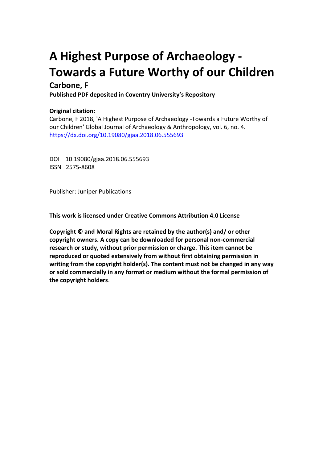# **A Highest Purpose of Archaeology - Towards a Future Worthy of our Children**

## **Carbone, F**

**Published PDF deposited in Coventry University's Repository** 

## **Original citation:**

Carbone, F 2018, 'A Highest Purpose of Archaeology -Towards a Future Worthy of our Children' Global Journal of Archaeology & Anthropology, vol. 6, no. 4. https://dx.doi.org/10.19080/gjaa.2018.06.555693

DOI 10.19080/gjaa.2018.06.555693 ISSN 2575-8608

Publisher: Juniper Publications

**This work is licensed under Creative Commons Attribution 4.0 License**

**Copyright © and Moral Rights are retained by the author(s) and/ or other copyright owners. A copy can be downloaded for personal non-commercial research or study, without prior permission or charge. This item cannot be reproduced or quoted extensively from without first obtaining permission in writing from the copyright holder(s). The content must not be changed in any way or sold commercially in any format or medium without the formal permission of the copyright holders**.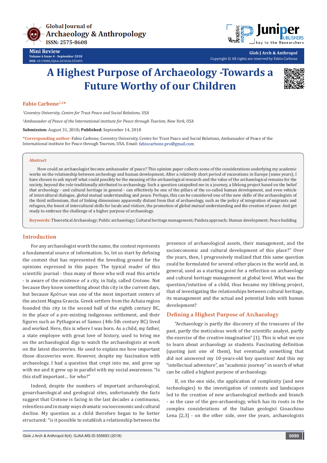



**Glob J Arch & Anthropol** Copyright © All rights are reserved by Fabio Carbone

## **A Highest Purpose of Archaeology -Towards a Future Worthy of our Children**



#### **Fabio Carbone1,2\***

*1 Coventry University, Centre for Trust Peace and Social Relations, USA*

*2 Ambassador of Peace of the International institute for Peace through Tourism, New York, USA*

**Submission:** August 31, 2018**; Published:** September 14, 2018

**\*Corresponding author:** Fabio Carbone, Coventry University, Centre for Trust Peace and Social Relations, Ambassador of Peace of the International institute for Peace through Tourism, USA, Email: fabiocarbone.pro@gmail.com

#### **Abstract**

How could an archaeologist become ambassador of peace? This opinion paper collects some of the considerations underlying my academic works on the relationship between archeology and human development. After a relatively short period of excavations in Europe (some years), I have chosen to ask myself what could possibly be the meaning of the archaeological research and the value of the archaeological remains for the society, beyond the role traditionally attributed to archaeology. Such a question catapulted me in a journey, a lifelong project based on the belief that archeology - and cultural heritage in general - can effectively be one of the pillars of the so-called human development, and even vehicle of intercultural dialogue, global mutual understanding and peace. Perhaps, this can be considered one of the new skills of the archaeologists of the third millennium, that of linking dimensions apparently distant from that of archaeology, such as the policy of integration of migrants and refugees, the boost of intercultural skills for locals and visitors, the promotion of global mutual understanding and the creation of peace. And get ready to embrace the challenge of a higher purpose of archaeology.

**Keywords:** Theoretical Archaeology; Public archaeology; Cultural heritage management; Paideia approach; Human development; Peace building

#### **Introduction**

For any archaeologist worth the name, the context represents a fundamental source of information. So, let us start by defining the context that has represented the breeding ground for the opinions expressed in this paper. The typical reader of this scientific journal - thus many of those who will read this article - is aware of the existence of a city, in Italy, called Crotone. Not because they know something about this city in the current days, but because Κρότων was one of the most important centers of the ancient Magna Graecia. Greek settlers from the Achaia region founded this city in the second half of the eighth century BC, in the place of a pre-existing indigenous settlement, and their figures such as Pythagoras of Samos (4th-5th century BC) lived and worked. Here, this is where I was born. As a child, my father, a state employee with great love of history, used to bring me on the archaeological digs to watch the archaeologists at work on the latest discoveries. He used to explain me how important those discoveries were. However, despite my fascination with archaeology, I had a question that crept into me, and grew up with me and it grew up in parallel with my social awareness. "Is this stuff important… for who?"

Indeed, despite the numbers of important archaeological, geoarchaeological and geological sites, unfortunately the facts suggest that Crotone is facing in the last decades a continuous, relentless and in many ways dramatic socioeconomic and cultural decline. My question as a child therefore began to be better structured: "is it possible to establish a relationship between the

presence of archaeological assets, their management, and the socioeconomic and cultural development of this place?" Over the years, then, I progressively realized that this same question could be formulated for several other places in the world and, in general, used as a starting point for a reflection on archaeology and cultural heritage management at global level. What was the question/intuition of a child, thus became my lifelong project, that of investigating the relationships between cultural heritage, its management and the actual and potential links with human development?

#### **Defining a Highest Purpose of Archaeology**

"Archaeology is partly the discovery of the treasures of the past, partly the meticulous work of the scientific analyst, partly the exercise of the creative imagination" [1]. This is what we use to learn about archaeology as students. Fascinating definition (quoting just one of them), but eventually something that did not answered my 10-years-old boy question! And this my "intellectual adventure", an "academic journey" in search of what can be called a highest purpose of archaeology.

If, on the one side, the application of complexity (and new technologies) to the investigation of contexts and landscapes led to the creation of new archaeological methods and branch - as the case of the geo-archaeology, which has its roots in the complex considerations of the Italian geologist Gioacchino Lena [2,3] - on the other side, over the years, archaeologists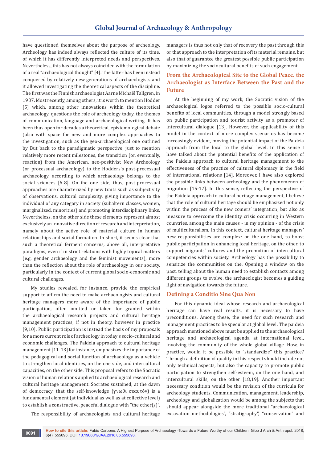have questioned themselves about the purpose of archeology. Archeology has indeed always reflected the culture of its time, of which it has differently interpreted needs and perspectives. Nevertheless, this has not always coincided with the formulation of a real "archaeological thought" [4]. The latter has been instead conquered by relatively new generations of archaeologists and it allowed investigating the theoretical aspects of the discipline. The first was the Finnish archaeologist Aarne Michaël Tallgren, in 1937. Most recently, among others, it is worth to mention Hodder [5] which, among other innovations within the theoretical archaeology, questions the role of archeology today, the themes of communication, language and archaeological writing. It has been thus open for decades a theoretical, epistemological debate (also with space for new and more complex approaches to the investigation, such as the geo-archaeological one outlined by But back to the paradigmatic perspective, just to mention relatively more recent milestones, the transition (or, eventually, reaction) from the American, neo-positivist New Archeology (or processual archaeology) to the Hodders's post-processual archaeology, according to which archaeology belongs to the social sciences [6-8]. On the one side, thus, post-processual approaches are characterized by new traits such as subjectivity of observations, cultural complexity, giving importance to the individual of any category in society (subaltern classes, women, marginalized, minorities) and promoting interdisciplinary links. Nevertheless, on the other side these elements represent almost exclusively an innovative direction of research and interpretation, namely about the active role of material culture in human relationships and social formation. In short, it seems clear that such a theoretical ferment concerns, above all, interpretative paradigms, even if in strict relations with highly topical matters (e.g. gender archaeology and the feminist movements), more than the reflection about the role of archaeology in our society, particularly in the context of current global socio-economic and cultural challenges.

My studies revealed, for instance, provide the empirical support to affirm the need to make archaeologists and cultural heritage managers more aware of the importance of public participation, often omitted or taken for granted within the archaeological research projects and cultural heritage management practices, if not in theory, however in practice [9,10]. Public participation is instead the basis of my proposals for a more current role of archeology in today's socio-cultural and economic challenges. The Paideia approach to cultural heritage management [11-13] for instance, emphasizes the importance of the pedagogical and social function of archaeology as a vehicle to strengthen local identities, on the one side, and intercultural capacities, on the other side. This proposal refers to the Socratic vision of human relations applied to archaeological research and cultural heritage management. Socrates sustained, at the dawn of democracy, that the self-knowledge (γνωθι σεαυτόν) is a fundamental element (at individual as well as at collective level) to establish a constructive, peaceful dialogue with "the other(s)".

The responsibility of archaeologists and cultural heritage

managers is thus not only that of recovery the past through this or that approach to the interpretation of its material remains, but also that of guarantee the greatest possible public participation by maximizing the sociocultural benefits of such engagement.

### **From the Archaeological Site to the Global Peace. the Archaeologist as Interface Between the Past and the Future**

At the beginning of my work, the Socratic vision of the archaeological logos referred to the possible socio-cultural benefits of local communities, through a model strongly based on public participation and tourist activity as a promoter of intercultural dialogue [13]. However, the applicability of this model in the context of more complex scenarios has become increasingly evident, moving the potential impact of the Paideia approach from the local to the global level. In this sense I have talked about the potential benefits of the application of the Paideia approach to cultural heritage management to the effectiveness of the practice of cultural diplomacy in the field of international relations [14]. Moreover, I have also explored the possible links between archeology and the phenomenon of migration [15-17]. In this sense, reflecting the perspective of the Paideia approach to cultural heritage management, I believe that the role of cultural heritage should be emphasized not only within the process of the new comers' integration, but also as measure to overcome the identity crisis occurring in Western countries, among the main causes - in my opinion - of the crisis of multiculturalism. In this context, cultural heritage managers' new responsibilities are complex: on the one hand, to boost public participation in enhancing local heritage, on the other, to support migrants' cultures and the promotion of intercultural competencies within society. Archeology has the possibility to sensitize the communities on the. Opening a window on the past, telling about the human need to establish contacts among different groups to evolve, the archaeologist becomes a guiding light of navigation towards the future.

#### **Defining a Conditio Sine Qua Non**

For this dynamic ideal whose research and archaeological heritage can have real results, it is necessary to have preconditions. Among these, the need for such research and management practices to be specular at global level. The paideia approach mentioned above must be applied to the archaeological heritage and archaeological agenda at international level, involving the community of the whole global village. How, in practice, would it be possible to "standardize" this practice? Through a definition of quality in this respect should include not only technical aspects, but also the capacity to promote public participation to strengthen self-esteem, on the one hand, and intercultural skills, on the other [18,19]. Another important necessary condition would be the revision of the curricula for archeology students. Communication, management, leadership, archeology and globalization would be among the subjects that should appear alongside the more traditional "archaeological excavation methodologies", "stratigraphy", "conservation" and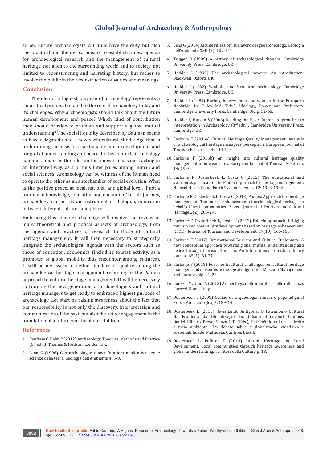so on. Future archaeologists will thus have the duty but also the practical and theoretical means to establish a new agenda for archaeological research and the management of cultural heritage, not alien to the surrounding world and to society, not limited to reconstructing and narrating history, but rather to involve the public in the reconstruction of values and meanings.

#### **Conclusion**

The idea of a highest purpose of archaeology represents a theoretical proposal related to the role of archaeology today and its challenges. Why archaeologists should talk about the future human development and peace? Which kind of contribution they should provide to promote and support a global mutual understanding? The social liquidity described by Bauman seems to have relegated us to a new socio-cultural Middle Age that is undermining the basis for a sustainable human development and for global understanding and peace. In this context, archaeology can and should be the fulcrum for a new renaissance, acting in an integrated way, as a primus inter pares among human and social sciences. Archaeology can be witness of the human need to open to the other as an antechamber of social evolution. What is the positive peace, at local, national and global level, if not a journey of knowledge, education and encounter? In this journey, archaeology can act as an instrument of dialogue, mediation between different cultures and peace.

Embracing this complex challenge will involve the review of many theoretical and practical aspects of archaeology, from the agenda and practices of research to those of cultural heritage management. It will then necessary to strategically integrate the archaeological agenda with the sectors such as those of education, economics (including tourist activity, as a promoter of global mobility thus encounter among cultures). It will be necessary to define standard of quality among the archaeological heritage management referring to the Paideia approach to cultural heritage management. It will be necessary to training the new generation of archaeologists and cultural heritage managers to get ready to embrace a highest purpose of archaeology. Let start by raising awareness about the fact that our responsibility is not only the discovery, interpretation and communication of the past, but also the active engagement in the foundation of a future worthy of our children.

#### **References**

- 1. Renfrew C, Bahn P (2012) Archaeology. Theories, Methods and Practice (6th edn.), Thames & Hudson, London, UK.
- 2. Lena G (1996) Geo archeologia: nuova frontiera applicativa per le scienze della terra. Geologia dell'Ambiente 4: 5-9.
- 3. Lena G (2014) Alcune riflessioni sul lavoro del geoarcheologo. Geologia dell'Ambiente XXII (2): 107-111.
- 4. Trigger B (1989) A history of archaeological thought. Cambridge University Press, Cambridge, UK.
- 5. Hodder I (1999) The archaeological process. An introduction: Blackwell, Oxford, UK.
- 6. Hodder I (1982) Symbolic and Structural Archaeology. Cambridge University Press, Cambridge, UK.
- 7. Hodder I (1984) Burials, houses, men and women in the European Neolithic. In: Tilley MA (Eds.), Ideology, Power and Prehistory. Cambridge University Press, Cambridge, UK, p. 51-68.
- 8. Hodder I, Hutson S (2003) Reading the Past: Current Approaches to Interpretation in Archaeology (3rd edn.). Cambridge University Press, Cambridge, UK.
- 9. Carbone F (2016a) Cultural Heritage Quality Management: Analysis of archaeological heritage managers' perception. European Journal of Tourism Research, 14: 114-118.
- 10. Carbone F (2016b) An insight into cultural heritage quality management of tourism sites. European Journal of Tourism Research, 14: 75-91.
- 11. [Carbone F, Oosterbeek L, Costa C \(2012\) The educational and](https://www.nat-hazards-earth-syst-sci.net/12/1983/2012/nhess-12-1983-2012.pdf)  [awareness purposes of the Paideia approach for heritage management.](https://www.nat-hazards-earth-syst-sci.net/12/1983/2012/nhess-12-1983-2012.pdf)  [Natural Hazards and Earth System Sciences 12: 1983-1986.](https://www.nat-hazards-earth-syst-sci.net/12/1983/2012/nhess-12-1983-2012.pdf)
- 12. [Carbone F, Oosterbeek L, Costa C \(2013\) Paideia Approach for heritage](http://pasosonline.org/Publicados/11213/PS0213_02.pdf)  [management, The tourist enhancement of archaeological heritage on](http://pasosonline.org/Publicados/11213/PS0213_02.pdf)  [behalf of local communities. Pasos - Journal of Tourism and Cultural](http://pasosonline.org/Publicados/11213/PS0213_02.pdf)  [Heritage 2\(2\): 285-295.](http://pasosonline.org/Publicados/11213/PS0213_02.pdf)
- 13. Carbone F, Oosterbeek L, Costa C (2012) Paideia approach: bridging tourism and community development based on heritage enhancement. RT&D - Journal of Tourism and Development, 17(18): 165-166.
- 14. Carbone F (2017) International Tourism and Cultural Diplomacy: A new conceptual approach towards global mutual understanding and peace through tourism. Tourism. An International Interdisciplinary Journal, 65(1): 61-74.
- 15. [Carbone F \(2018\) Post-multicultural challenges for cultural heritage](https://www.tandfonline.com/doi/abs/10.1080/09647775.2018.1498298?journalCode=rmmc20)  [managers and museums in the age of migrations. Museum Management](https://www.tandfonline.com/doi/abs/10.1080/09647775.2018.1498298?journalCode=rmmc20)  [and Curatorship p.1-22.](https://www.tandfonline.com/doi/abs/10.1080/09647775.2018.1498298?journalCode=rmmc20)
- 16. Cuozzo, M, Guidi A (2013) Archeologia delle identita' e delle differenze. Carocci, Roma, Italy.
- 17. Oosterbeek L (2008) Gestão da arqueologia: mudar o paparadigma! Praxis Archaeologica, 3: 139-144.
- 18. Oosterbeek L (2015) Revisitando Antígona: O Património Cultural Na Fronteira da Globalização. In: Juliano Bitencourt Campos, Daniel Ribeiro Preve, Souza IFD (Eds.), Patrimônio cultural, direito e meio ambiente. Um debate sobre a globalização, cidadania e sustentabilidade, Multideia, Curitiba, Brazil.
- 19. Oosterbeek L, Pollicen F (2014) Cultural Heritage and Local Development. Local communities through heritage awareness and global understanding. Territori della Culture p. 18.